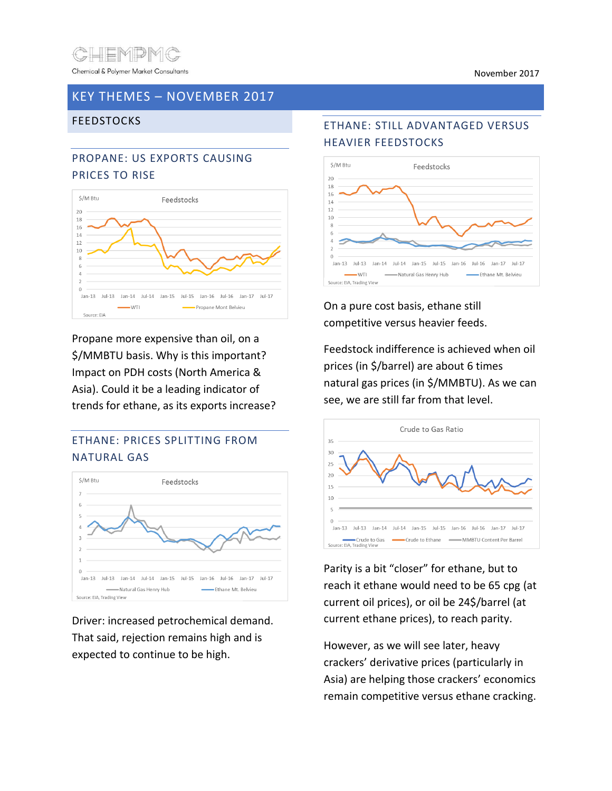

### KEY THEMES – NOVEMBER 2017

#### FEEDSTOCKS

# PROPANE: US EXPORTS CAUSING PRICES TO RISE



Propane more expensive than oil, on a \$/MMBTU basis. Why is this important? Impact on PDH costs (North America & Asia). Could it be a leading indicator of trends for ethane, as its exports increase?

# ETHANE: PRICES SPLITTING FROM NATURAL GAS



Driver: increased petrochemical demand. That said, rejection remains high and is expected to continue to be high.

#### ETHANE: STILL ADVANTAGED VERSUS HEAVIER FEEDSTOCKS



On a pure cost basis, ethane still competitive versus heavier feeds.

Feedstock indifference is achieved when oil prices (in \$/barrel) are about 6 times natural gas prices (in \$/MMBTU). As we can see, we are still far from that level.



Parity is a bit "closer" for ethane, but to reach it ethane would need to be 65 cpg (at current oil prices), or oil be 24\$/barrel (at current ethane prices), to reach parity.

However, as we will see later, heavy crackers' derivative prices (particularly in Asia) are helping those crackers' economics remain competitive versus ethane cracking.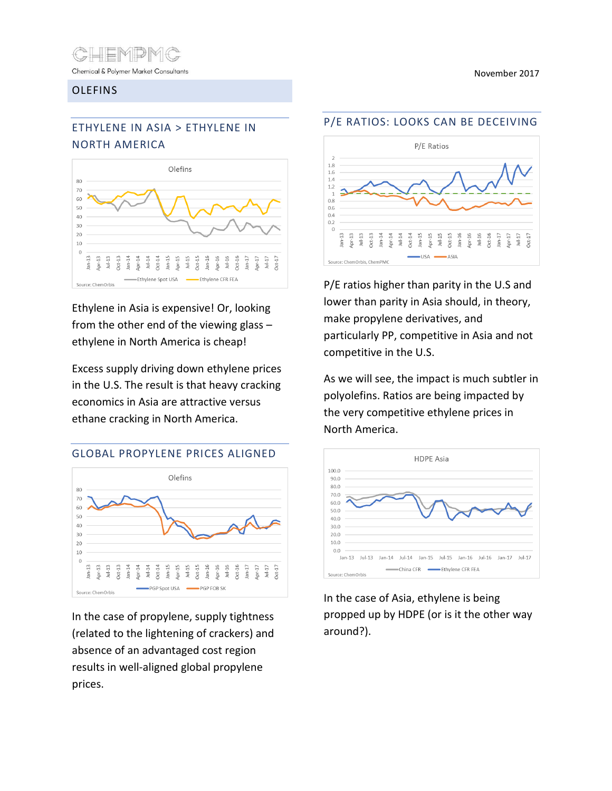

Chemical & Polymer Market Consultants

#### OLEFINS

November 2017

# ETHYLENE IN ASIA > ETHYLENE IN NORTH AMERICA



Ethylene in Asia is expensive! Or, looking from the other end of the viewing glass – ethylene in North America is cheap!

Excess supply driving down ethylene prices in the U.S. The result is that heavy cracking economics in Asia are attractive versus ethane cracking in North America.

#### GLOBAL PROPYLENE PRICES ALIGNED



In the case of propylene, supply tightness (related to the lightening of crackers) and absence of an advantaged cost region results in well-aligned global propylene prices.

#### P/E RATIOS: LOOKS CAN BE DECEIVING



P/E ratios higher than parity in the U.S and lower than parity in Asia should, in theory, make propylene derivatives, and particularly PP, competitive in Asia and not competitive in the U.S.

As we will see, the impact is much subtler in polyolefins. Ratios are being impacted by the very competitive ethylene prices in North America.



In the case of Asia, ethylene is being propped up by HDPE (or is it the other way around?).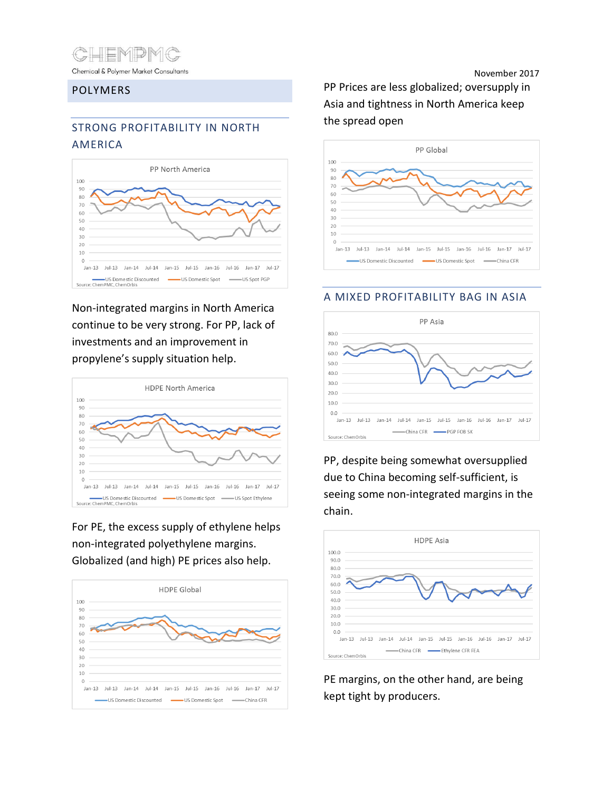

#### POLYMERS

# STRONG PROFITABILITY IN NORTH AMERICA



Non-integrated margins in North America continue to be very strong. For PP, lack of investments and an improvement in propylene's supply situation help.



For PE, the excess supply of ethylene helps non-integrated polyethylene margins. Globalized (and high) PE prices also help.



November 2017 PP Prices are less globalized; oversupply in Asia and tightness in North America keep the spread open



#### A MIXED PROFITABILITY BAG IN ASIA



PP, despite being somewhat oversupplied due to China becoming self-sufficient, is seeing some non-integrated margins in the chain.



PE margins, on the other hand, are being kept tight by producers.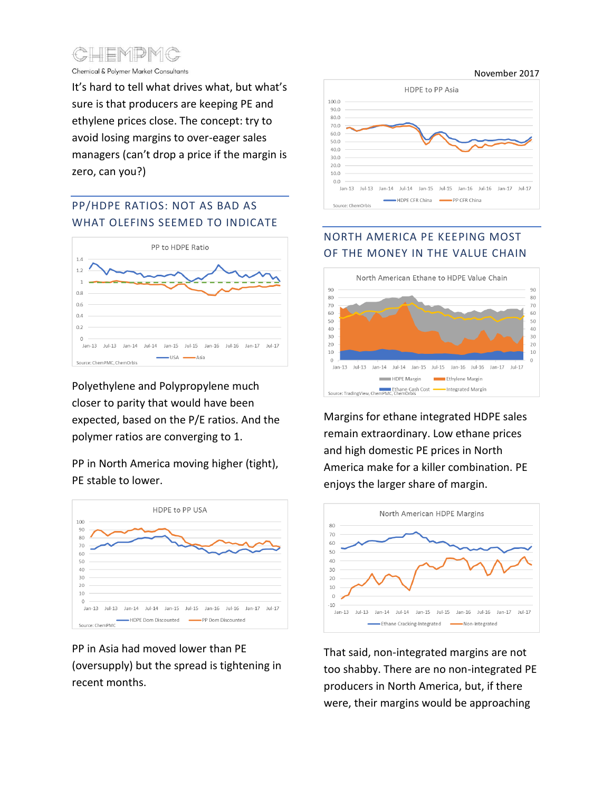

Chemical & Polymer Market Consultants

It's hard to tell what drives what, but what's sure is that producers are keeping PE and ethylene prices close. The concept: try to avoid losing margins to over-eager sales managers (can't drop a price if the margin is zero, can you?)

# PP/HDPE RATIOS: NOT AS BAD AS WHAT OLEFINS SEEMED TO INDICATE



Polyethylene and Polypropylene much closer to parity that would have been expected, based on the P/E ratios. And the polymer ratios are converging to 1.

### PP in North America moving higher (tight), PE stable to lower.



PP in Asia had moved lower than PE (oversupply) but the spread is tightening in recent months.



# NORTH AMERICA PE KEEPING MOST OF THE MONEY IN THE VALUE CHAIN



Margins for ethane integrated HDPE sales remain extraordinary. Low ethane prices and high domestic PE prices in North America make for a killer combination. PE enjoys the larger share of margin.



That said, non-integrated margins are not too shabby. There are no non-integrated PE producers in North America, but, if there were, their margins would be approaching

November 2017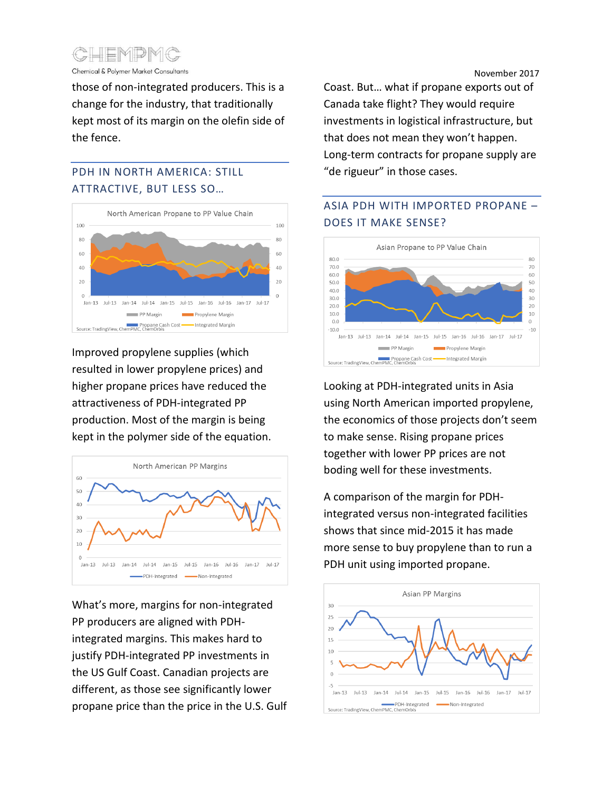

Chemical & Polymer Market Consultants

those of non-integrated producers. This is a change for the industry, that traditionally kept most of its margin on the olefin side of the fence.

#### PDH IN NORTH AMERICA: STILL ATTRACTIVE, BUT LESS SO…



Improved propylene supplies (which resulted in lower propylene prices) and higher propane prices have reduced the attractiveness of PDH-integrated PP production. Most of the margin is being kept in the polymer side of the equation.



What's more, margins for non-integrated PP producers are aligned with PDHintegrated margins. This makes hard to justify PDH-integrated PP investments in the US Gulf Coast. Canadian projects are different, as those see significantly lower propane price than the price in the U.S. Gulf November 2017

Coast. But… what if propane exports out of Canada take flight? They would require investments in logistical infrastructure, but that does not mean they won't happen. Long-term contracts for propane supply are "de rigueur" in those cases.

# ASIA PDH WITH IMPORTED PROPANE – DOES IT MAKE SENSE?



Looking at PDH-integrated units in Asia using North American imported propylene, the economics of those projects don't seem to make sense. Rising propane prices together with lower PP prices are not boding well for these investments.

A comparison of the margin for PDHintegrated versus non-integrated facilities shows that since mid-2015 it has made more sense to buy propylene than to run a PDH unit using imported propane.